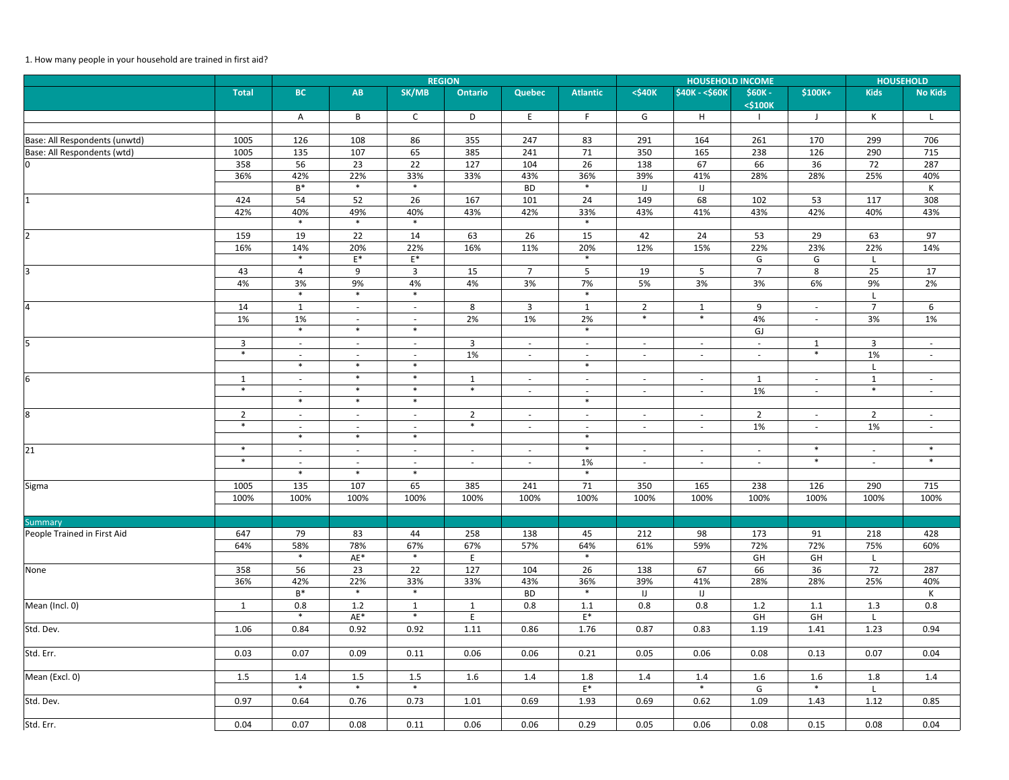## 1. How many people in your household are trained in first aid?

|                               | <b>REGION</b>            |                                    |                                    |                                    |                          |                          |                                    |                          | <b>HOUSEHOLD</b>         |                          |                          |                          |                |
|-------------------------------|--------------------------|------------------------------------|------------------------------------|------------------------------------|--------------------------|--------------------------|------------------------------------|--------------------------|--------------------------|--------------------------|--------------------------|--------------------------|----------------|
|                               | <b>Total</b>             | <b>BC</b>                          | AB                                 | SK/MB                              | <b>Ontario</b>           | <b>Quebec</b>            | <b>Atlantic</b>                    | $<$ \$40 $K$             | \$40K - < \$60K          | \$60K -<br><\$100K       | \$100K+                  | <b>Kids</b>              | <b>No Kids</b> |
|                               |                          | A                                  | B                                  | $\mathsf{C}$                       | D                        | E                        | F                                  | G                        | H                        |                          | J                        | K                        | L              |
|                               |                          |                                    |                                    |                                    |                          |                          |                                    |                          |                          |                          |                          |                          |                |
| Base: All Respondents (unwtd) | 1005                     | 126                                | 108                                | 86                                 | 355                      | 247                      | 83                                 | 291                      | 164                      | 261                      | 170                      | 299                      | 706            |
| Base: All Respondents (wtd)   | 1005                     | 135                                | 107                                | 65                                 | 385                      | 241                      | 71                                 | 350                      | 165                      | 238                      | 126                      | 290                      | 715            |
| $\mathbf 0$                   | 358                      | 56                                 | 23                                 | 22                                 | 127                      | 104                      | 26                                 | 138                      | 67                       | 66                       | 36                       | 72                       | 287            |
|                               | 36%                      | 42%                                | 22%<br>$\ast$                      | 33%<br>$\ast$                      | 33%                      | 43%                      | 36%<br>$\ast$                      | 39%                      | 41%                      | 28%                      | 28%                      | 25%                      | 40%            |
|                               |                          | $\mathsf{B}^{*}$                   |                                    |                                    |                          | <b>BD</b>                |                                    | $\sf U$                  | IJ                       |                          |                          |                          | К              |
| $\mathbf{1}$                  | 424                      | 54                                 | 52                                 | 26                                 | 167                      | 101                      | 24                                 | 149                      | 68                       | 102                      | 53<br>42%                | 117                      | 308            |
|                               | 42%                      | 40%<br>$\ast$                      | 49%<br>$\ast$                      | 40%<br>$\ast$                      | 43%                      | 42%                      | 33%<br>$\ast$                      | 43%                      | 41%                      | 43%                      |                          | 40%                      | 43%            |
| $\overline{2}$                | 159                      | 19                                 | 22                                 | 14                                 | 63                       | 26                       | 15                                 | 42                       | 24                       | 53                       | 29                       | 63                       | 97             |
|                               | 16%                      | 14%                                | 20%                                | 22%                                | 16%                      | 11%                      | 20%                                | 12%                      | 15%                      | 22%                      | 23%                      | 22%                      | 14%            |
|                               |                          | $\ast$                             | $\mathsf{E}^*$                     | $\mathsf{E}^*$                     |                          |                          | $\ast$                             |                          |                          | G                        | G                        |                          |                |
| 3                             | 43                       | 4                                  | 9                                  | $\overline{3}$                     | 15                       | $\overline{7}$           | 5 <sub>1</sub>                     | 19                       | 5                        | $\overline{7}$           | 8                        | 25                       | 17             |
|                               | 4%                       | 3%                                 | 9%                                 | 4%                                 | 4%                       | 3%                       | 7%                                 | 5%                       | 3%                       | 3%                       | 6%                       | 9%                       | 2%             |
|                               |                          | $\ast$                             | $\ast$                             | $\ast$                             |                          |                          | $\ast$                             |                          |                          |                          |                          |                          |                |
| 4                             | 14                       | $\mathbf{1}$                       | $\sim$                             | $\sim$                             | 8                        | $\mathbf{3}$             | 1                                  | $\overline{2}$           | $\mathbf{1}$             | 9                        | $\sim$                   | $\overline{7}$           | 6              |
|                               | 1%                       | 1%                                 | $\sim$                             | $\sim$                             | 2%                       | 1%                       | 2%                                 | $\ast$                   | $\ast$                   | 4%                       | $\overline{\phantom{a}}$ | 3%                       | 1%             |
|                               |                          | $\ast$                             | $\ast$                             | $\ast$                             |                          |                          | $\ast$                             |                          |                          | GJ                       |                          |                          |                |
| 5                             | $\overline{3}$           | $\sim$                             | $\overline{\phantom{a}}$           | $\overline{\phantom{a}}$           | $\mathbf{3}$             | $\sim$                   | $\overline{\phantom{a}}$           | $\overline{\phantom{a}}$ | $\overline{\phantom{a}}$ | $\overline{\phantom{a}}$ | $\mathbf{1}$             | $\mathbf{3}$             | $\sim$         |
|                               | $\ast$                   | $\overline{\phantom{a}}$           | $\overline{\phantom{a}}$           | $\overline{\phantom{a}}$           | 1%                       | $\sim$                   | $\overline{\phantom{a}}$           | $\overline{\phantom{a}}$ | $\overline{\phantom{a}}$ | $\sim$                   | $\ast$                   | 1%                       | $\sim$         |
|                               |                          | $\ast$                             | $\ast$                             | $\ast$                             |                          |                          | $\ast$                             |                          |                          |                          |                          |                          |                |
| 6                             | $\mathbf{1}$             | $\sim$                             | $\ast$                             | $\ast$                             | $\mathbf{1}$             | $\sim$                   | $ \,$                              | $\overline{\phantom{a}}$ | $\sim$                   | $\mathbf{1}$             | $\overline{\phantom{a}}$ | $\mathbf{1}$             | $\sim$         |
|                               | $\ast$                   | $\sim$                             | $\ast$                             | $\ast$                             | $\ast$                   | $\sim$                   | $\overline{\phantom{a}}$           | $\overline{\phantom{a}}$ | $\overline{\phantom{a}}$ | 1%                       | $\overline{\phantom{a}}$ | $\ast$                   | $\sim$         |
|                               |                          | $\ast$                             | $\ast$                             | $\ast$                             |                          |                          | $\ast$                             |                          |                          |                          |                          |                          |                |
| 8                             | $\overline{2}$<br>$\ast$ | $\sim$                             | $\sim$                             | $\sim$                             | $\overline{2}$<br>$\ast$ | $\sim$                   | $\sim$                             | $\overline{\phantom{a}}$ | $\overline{\phantom{a}}$ | $\overline{2}$           | $\overline{\phantom{a}}$ | $\overline{2}$           | $\sim$         |
|                               |                          | $\overline{\phantom{a}}$<br>$\ast$ | $\overline{\phantom{a}}$<br>$\ast$ | $\overline{\phantom{a}}$<br>$\ast$ |                          | $\sim$                   | $\overline{\phantom{a}}$<br>$\ast$ | $\overline{\phantom{a}}$ | $\overline{\phantom{a}}$ | 1%                       | $\overline{\phantom{a}}$ | 1%                       | $\sim$         |
|                               | $\ast$                   |                                    |                                    |                                    |                          |                          | $\ast$                             |                          |                          |                          | $\ast$                   |                          | $\ast$         |
| 21                            | $\ast$                   | $\overline{\phantom{a}}$           | $\overline{\phantom{a}}$           | $\overline{\phantom{a}}$           | $\overline{\phantom{a}}$ | $\overline{\phantom{a}}$ | 1%                                 | $\overline{\phantom{a}}$ | $\overline{\phantom{a}}$ | $\overline{\phantom{a}}$ | $\ast$                   | $\overline{\phantom{a}}$ | $\ast$         |
|                               |                          | $\overline{\phantom{a}}$<br>$\ast$ | $\ast$                             | $\overline{\phantom{a}}$<br>$\ast$ | $\overline{\phantom{a}}$ |                          | $\ast$                             | $\overline{\phantom{a}}$ | $\overline{\phantom{a}}$ | $\overline{\phantom{a}}$ |                          | $\overline{\phantom{a}}$ |                |
| Sigma                         | 1005                     | 135                                | 107                                | 65                                 | 385                      | 241                      | 71                                 | 350                      | 165                      | 238                      | 126                      | 290                      | 715            |
|                               | 100%                     | 100%                               | 100%                               | 100%                               | 100%                     | 100%                     | 100%                               | 100%                     | 100%                     | 100%                     | 100%                     | 100%                     | 100%           |
|                               |                          |                                    |                                    |                                    |                          |                          |                                    |                          |                          |                          |                          |                          |                |
| Summary                       |                          |                                    |                                    |                                    |                          |                          |                                    |                          |                          |                          |                          |                          |                |
| People Trained in First Aid   | 647                      | 79                                 | 83                                 | 44                                 | 258                      | 138                      | 45                                 | 212                      | 98                       | 173                      | 91                       | 218                      | 428            |
|                               | 64%                      | 58%                                | 78%                                | 67%                                | 67%                      | 57%                      | 64%                                | 61%                      | 59%                      | 72%                      | 72%                      | 75%                      | 60%            |
|                               |                          | $\ast$                             | AE*                                | $\ast$                             | $\mathsf E$              |                          | $\ast$                             |                          |                          | GH                       | GH                       | L.                       |                |
| None                          | 358                      | 56                                 | 23                                 | 22                                 | 127                      | 104                      | 26                                 | 138                      | 67                       | 66                       | 36                       | 72                       | 287            |
|                               | 36%                      | 42%                                | 22%                                | 33%                                | 33%                      | 43%                      | 36%                                | 39%                      | 41%                      | 28%                      | 28%                      | 25%                      | 40%            |
|                               |                          | $\mathsf{B}^{*}$                   | $\ast$                             | $\ast$                             |                          | <b>BD</b>                | $\ast$                             | $\mathsf{U}%$            | IJ                       |                          |                          |                          | К              |
| Mean (Incl. 0)                | $\mathbf{1}$             | 0.8                                | 1.2                                | $\mathbf{1}$                       | $\mathbf{1}$             | $0.8\,$                  | 1.1                                | 0.8                      | 0.8                      | 1.2                      | 1.1                      | 1.3                      | 0.8            |
|                               |                          | $\ast$                             | AE*                                | $\ast$                             | E                        |                          | $\mathsf{E}^*$                     |                          |                          | GH                       | GH                       |                          |                |
| Std. Dev.                     | 1.06                     | 0.84                               | 0.92                               | 0.92                               | 1.11                     | 0.86                     | 1.76                               | 0.87                     | 0.83                     | 1.19                     | 1.41                     | 1.23                     | 0.94           |
|                               |                          |                                    |                                    |                                    |                          |                          |                                    |                          |                          |                          |                          |                          |                |
| Std. Err.                     | 0.03                     | 0.07                               | 0.09                               | 0.11                               | 0.06                     | 0.06                     | 0.21                               | 0.05                     | 0.06                     | 0.08                     | 0.13                     | 0.07                     | 0.04           |
|                               |                          |                                    |                                    |                                    |                          |                          |                                    |                          |                          |                          |                          |                          |                |
| Mean (Excl. 0)                | 1.5                      | 1.4<br>$\ast$                      | $1.5\,$<br>$\ast$                  | 1.5<br>$\ast$                      | 1.6                      | $1.4\,$                  | 1.8                                | 1.4                      | $1.4\,$<br>$\ast$        | 1.6                      | 1.6<br>$\ast$            | 1.8                      | 1.4            |
|                               |                          |                                    |                                    |                                    |                          |                          | $\mathsf{E}^*$                     |                          |                          | G                        |                          | L                        |                |
| Std. Dev.                     | 0.97                     | 0.64                               | 0.76                               | 0.73                               | 1.01                     | 0.69                     | 1.93                               | 0.69                     | 0.62                     | 1.09                     | 1.43                     | 1.12                     | 0.85           |
| Std. Err.                     | 0.04                     | 0.07                               | 0.08                               | 0.11                               | 0.06                     | 0.06                     | 0.29                               | 0.05                     | 0.06                     | 0.08                     | 0.15                     | 0.08                     | 0.04           |
|                               |                          |                                    |                                    |                                    |                          |                          |                                    |                          |                          |                          |                          |                          |                |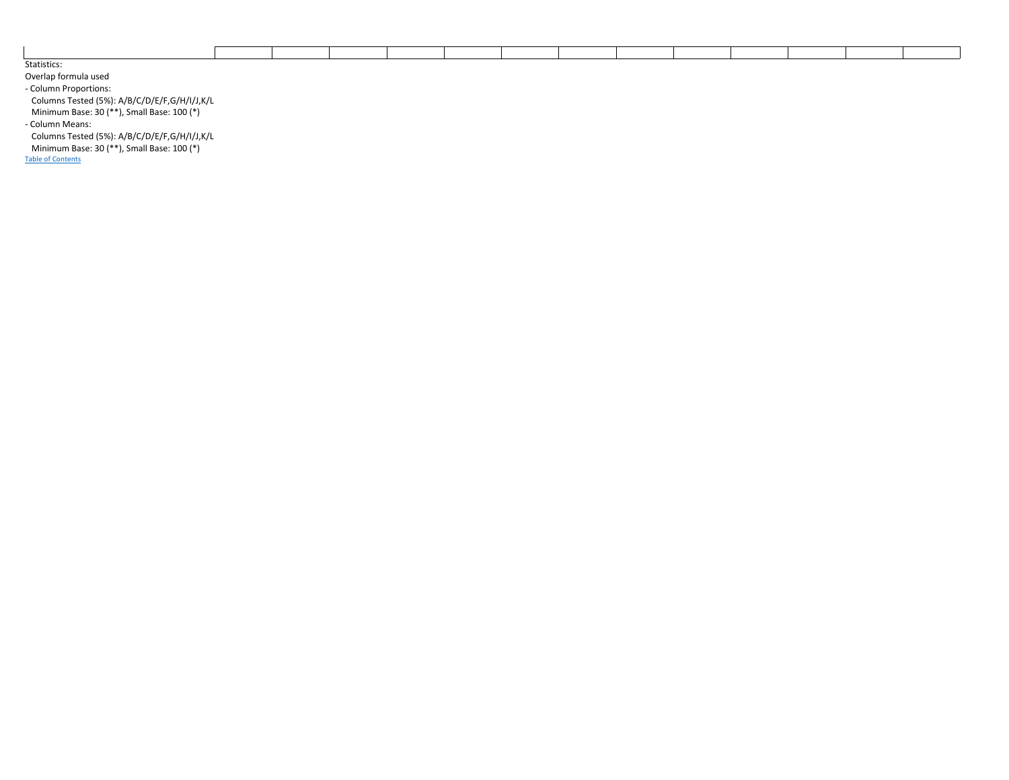| Statistics: |  |  |  |  |  |
|-------------|--|--|--|--|--|

Overlap formula used - Column Proportions: Columns Tested (5%): A/B/C/D/E/F,G/H/I/J,K/L Minimum Base: 30 (\*\*), Small Base: 100 (\*)

- Column Means:

Columns Tested (5%): A/B/C/D/E/F,G/H/I/J,K/L

Minimum Base: 30 (\*\*), Small Base: 100 (\*)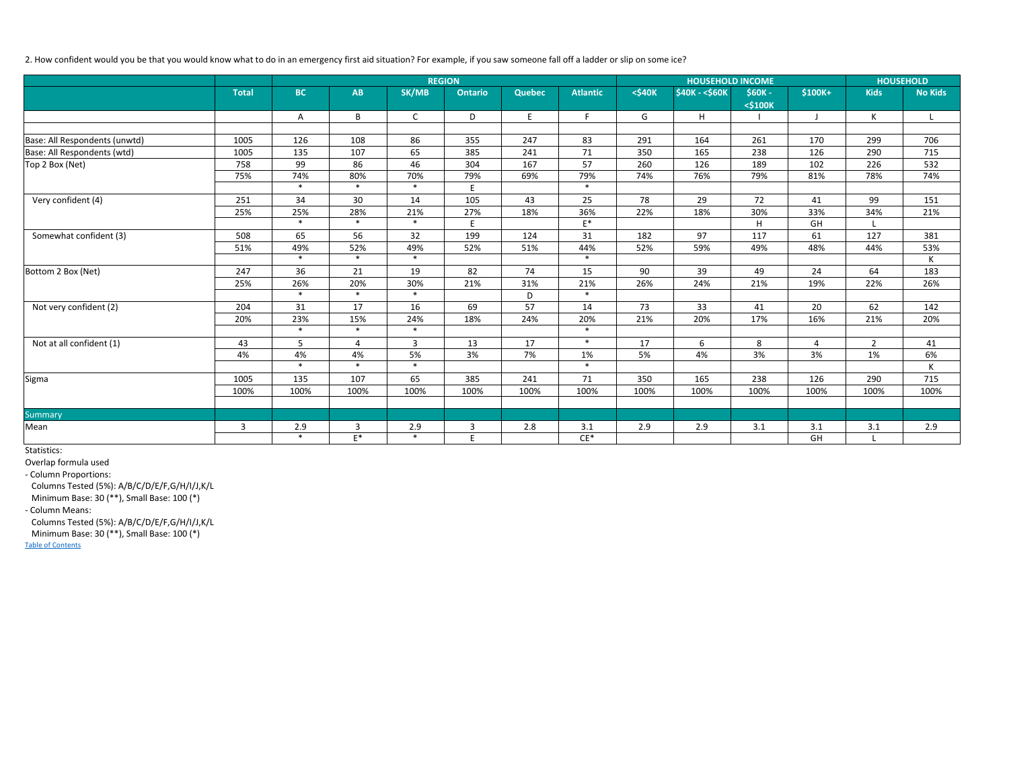## 2. How confident would you be that you would know what to do in an emergency first aid situation? For example, if you saw someone fall off a ladder or slip on some ice?

|                               | <b>REGION</b> |           |                |              |                |               |                 |                 | <b>HOUSEHOLD INCOME</b>  | <b>HOUSEHOLD</b> |              |                |                |
|-------------------------------|---------------|-----------|----------------|--------------|----------------|---------------|-----------------|-----------------|--------------------------|------------------|--------------|----------------|----------------|
|                               | <b>Total</b>  | <b>BC</b> | AB             | SK/MB        | <b>Ontario</b> | <b>Quebec</b> | <b>Atlantic</b> | <b>&lt;540K</b> | <b>\$40K - &lt;\$60K</b> | <b>S60K-</b>     | \$100K+      | <b>Kids</b>    | <b>No Kids</b> |
|                               |               |           |                |              |                |               |                 |                 |                          | <\$100K          |              |                |                |
|                               |               | Α         | B              | $\mathsf{C}$ | D              | E             | F               | G               | H                        |                  | $\mathbf{J}$ | К              | L              |
|                               |               |           |                |              |                |               |                 |                 |                          |                  |              |                |                |
| Base: All Respondents (unwtd) | 1005          | 126       | 108            | 86           | 355            | 247           | 83              | 291             | 164                      | 261              | 170          | 299            | 706            |
| Base: All Respondents (wtd)   | 1005          | 135       | 107            | 65           | 385            | 241           | 71              | 350             | 165                      | 238              | 126          | 290            | 715            |
| Top 2 Box (Net)               | 758           | 99        | 86             | 46           | 304            | 167           | 57              | 260             | 126                      | 189              | 102          | 226            | 532            |
|                               | 75%           | 74%       | 80%            | 70%          | 79%            | 69%           | 79%             | 74%             | 76%                      | 79%              | 81%          | 78%            | 74%            |
|                               |               | $\ast$    | $\ast$         | $\ast$       | E              |               | $\ast$          |                 |                          |                  |              |                |                |
| Very confident (4)            | 251           | 34        | 30             | 14           | 105            | 43            | 25              | 78              | 29                       | 72               | 41           | 99             | 151            |
|                               | 25%           | 25%       | 28%            | 21%          | 27%            | 18%           | 36%             | 22%             | 18%                      | 30%              | 33%          | 34%            | 21%            |
|                               |               | $\ast$    | $\ast$         | $\ast$       | E              |               | $E^*$           |                 |                          | H                | GH           |                |                |
| Somewhat confident (3)        | 508           | 65        | 56             | 32           | 199            | 124           | 31              | 182             | 97                       | 117              | 61           | 127            | 381            |
|                               | 51%           | 49%       | 52%            | 49%          | 52%            | 51%           | 44%             | 52%             | 59%                      | 49%              | 48%          | 44%            | 53%            |
|                               |               | $\ast$    | $\ast$         | $\ast$       |                |               | $\ast$          |                 |                          |                  |              |                | K              |
| Bottom 2 Box (Net)            | 247           | 36        | 21             | 19           | 82             | 74            | 15              | 90              | 39                       | 49               | 24           | 64             | 183            |
|                               | 25%           | 26%       | 20%            | 30%          | 21%            | 31%           | 21%             | 26%             | 24%                      | 21%              | 19%          | 22%            | 26%            |
|                               |               | $\ast$    | $\ast$         | $\ast$       |                | D             | $\ast$          |                 |                          |                  |              |                |                |
| Not very confident (2)        | 204           | 31        | 17             | 16           | 69             | 57            | 14              | 73              | 33                       | 41               | 20           | 62             | 142            |
|                               | 20%           | 23%       | 15%            | 24%          | 18%            | 24%           | 20%             | 21%             | 20%                      | 17%              | 16%          | 21%            | 20%            |
|                               |               | $\ast$    | $\ast$         | $\ast$       |                |               | $\ast$          |                 |                          |                  |              |                |                |
| Not at all confident (1)      | 43            | 5         | 4              | 3            | 13             | 17            | $\ast$          | 17              | 6                        | 8                | 4            | $\overline{2}$ | 41             |
|                               | 4%            | 4%        | 4%             | 5%           | 3%             | 7%            | 1%              | 5%              | 4%                       | 3%               | 3%           | 1%             | 6%             |
|                               |               | $\ast$    | $\ast$         | $\ast$       |                |               | $\ast$          |                 |                          |                  |              |                | K              |
| Sigma                         | 1005          | 135       | 107            | 65           | 385            | 241           | 71              | 350             | 165                      | 238              | 126          | 290            | 715            |
|                               | 100%          | 100%      | 100%           | 100%         | 100%           | 100%          | 100%            | 100%            | 100%                     | 100%             | 100%         | 100%           | 100%           |
|                               |               |           |                |              |                |               |                 |                 |                          |                  |              |                |                |
| Summary                       |               |           |                |              |                |               |                 |                 |                          |                  |              |                |                |
| Mean                          | 3             | 2.9       | 3              | 2.9          | 3              | 2.8           | 3.1             | 2.9             | 2.9                      | 3.1              | 3.1          | 3.1            | 2.9            |
|                               |               | $\ast$    | $\mathsf{E}^*$ | $\ast$       | E              |               | $CE^*$          |                 |                          |                  | GH           |                |                |

Statistics:

Overlap formula used

- Column Proportions:

Columns Tested (5%): A/B/C/D/E/F,G/H/I/J,K/L

Minimum Base: 30 (\*\*), Small Base: 100 (\*)

- Column Means:

Columns Tested (5%): A/B/C/D/E/F,G/H/I/J,K/L

Minimum Base: 30 (\*\*), Small Base: 100 (\*)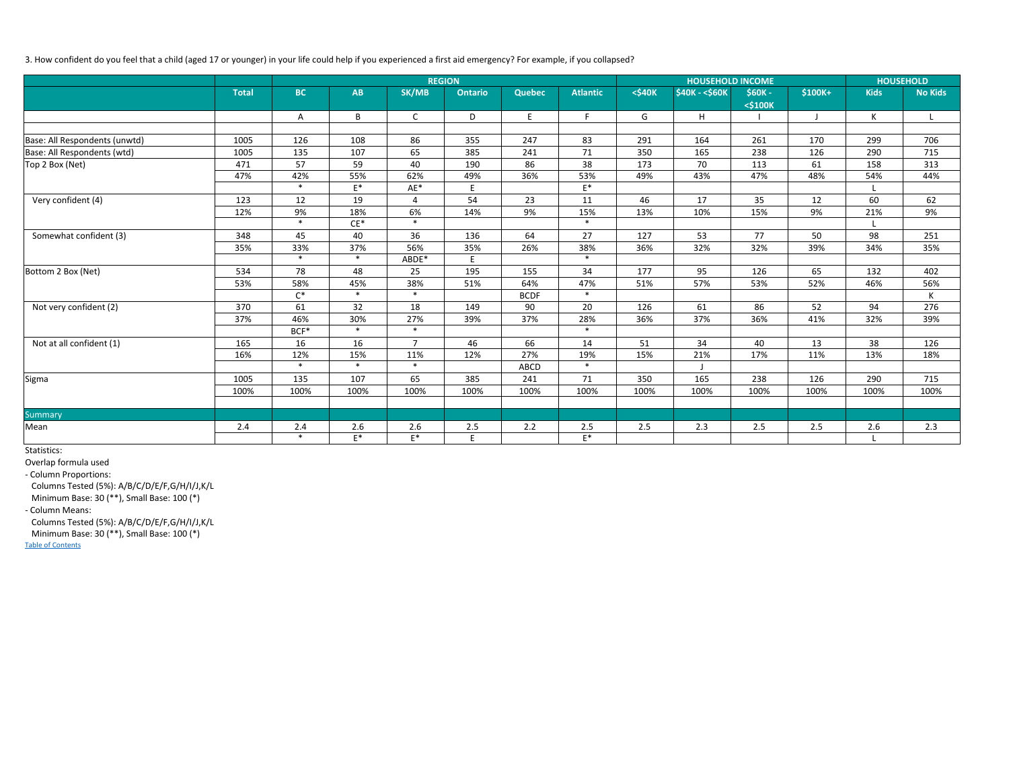## 3. How confident do you feel that a child (aged 17 or younger) in your life could help if you experienced a first aid emergency? For example, if you collapsed?

|                               |              | <b>REGION</b>  |        |                |                |               |                 |                  | <b>HOUSEHOLD INCOME</b>   | <b>HOUSEHOLD</b> |              |             |                |
|-------------------------------|--------------|----------------|--------|----------------|----------------|---------------|-----------------|------------------|---------------------------|------------------|--------------|-------------|----------------|
|                               | <b>Total</b> | <b>BC</b>      | AB     | SK/MB          | <b>Ontario</b> | <b>Quebec</b> | <b>Atlantic</b> | <b>&lt;\$40K</b> | <b>\$40K - &lt; \$60K</b> | <b>S60K-</b>     | $$100K+$     | <b>Kids</b> | <b>No Kids</b> |
|                               |              |                |        |                |                |               |                 |                  |                           | <\$100K          |              |             |                |
|                               |              | Α              | B      | $\mathsf{C}$   | D              | E             | F.              | G                | H                         |                  | $\mathbf{J}$ | К           | L              |
|                               |              |                |        |                |                |               |                 |                  |                           |                  |              |             |                |
| Base: All Respondents (unwtd) | 1005         | 126            | 108    | 86             | 355            | 247           | 83              | 291              | 164                       | 261              | 170          | 299         | 706            |
| Base: All Respondents (wtd)   | 1005         | 135            | 107    | 65             | 385            | 241           | 71              | 350              | 165                       | 238              | 126          | 290         | 715            |
| Top 2 Box (Net)               | 471          | 57             | 59     | 40             | 190            | 86            | 38              | 173              | 70                        | 113              | 61           | 158         | 313            |
|                               | 47%          | 42%            | 55%    | 62%            | 49%            | 36%           | 53%             | 49%              | 43%                       | 47%              | 48%          | 54%         | 44%            |
|                               |              | $\ast$         | $E^*$  | AE*            | E              |               | $E^*$           |                  |                           |                  |              |             |                |
| Very confident (4)            | 123          | 12             | 19     | $\overline{4}$ | 54             | 23            | 11              | 46               | 17                        | 35               | 12           | 60          | 62             |
|                               | 12%          | 9%             | 18%    | 6%             | 14%            | 9%            | 15%             | 13%              | 10%                       | 15%              | 9%           | 21%         | 9%             |
|                               |              | $\ast$         | $CE^*$ | $\ast$         |                |               | $\ast$          |                  |                           |                  |              |             |                |
| Somewhat confident (3)        | 348          | 45             | 40     | 36             | 136            | 64            | 27              | 127              | 53                        | 77               | 50           | 98          | 251            |
|                               | 35%          | 33%            | 37%    | 56%            | 35%            | 26%           | 38%             | 36%              | 32%                       | 32%              | 39%          | 34%         | 35%            |
|                               |              | $\ast$         | $\ast$ | ABDE*          | E              |               | $\ast$          |                  |                           |                  |              |             |                |
| Bottom 2 Box (Net)            | 534          | 78             | 48     | 25             | 195            | 155           | 34              | 177              | 95                        | 126              | 65           | 132         | 402            |
|                               | 53%          | 58%            | 45%    | 38%            | 51%            | 64%           | 47%             | 51%              | 57%                       | 53%              | 52%          | 46%         | 56%            |
|                               |              | $\mathsf{C}^*$ | $\ast$ | $\ast$         |                | <b>BCDF</b>   | $\ast$          |                  |                           |                  |              |             | K              |
| Not very confident (2)        | 370          | 61             | 32     | 18             | 149            | 90            | 20              | 126              | 61                        | 86               | 52           | 94          | 276            |
|                               | 37%          | 46%            | 30%    | 27%            | 39%            | 37%           | 28%             | 36%              | 37%                       | 36%              | 41%          | 32%         | 39%            |
|                               |              | BCF*           | $\ast$ | $\ast$         |                |               | $\ast$          |                  |                           |                  |              |             |                |
| Not at all confident (1)      | 165          | 16             | 16     | $\overline{7}$ | 46             | 66            | 14              | 51               | 34                        | 40               | 13           | 38          | 126            |
|                               | 16%          | 12%            | 15%    | 11%            | 12%            | 27%           | 19%             | 15%              | 21%                       | 17%              | 11%          | 13%         | 18%            |
|                               |              | $\ast$         | $\ast$ | $\ast$         |                | ABCD          | $\ast$          |                  |                           |                  |              |             |                |
| Sigma                         | 1005         | 135            | 107    | 65             | 385            | 241           | 71              | 350              | 165                       | 238              | 126          | 290         | 715            |
|                               | 100%         | 100%           | 100%   | 100%           | 100%           | 100%          | 100%            | 100%             | 100%                      | 100%             | 100%         | 100%        | 100%           |
|                               |              |                |        |                |                |               |                 |                  |                           |                  |              |             |                |
| Summary                       |              |                |        |                |                |               |                 |                  |                           |                  |              |             |                |
| Mean                          | 2.4          | 2.4            | 2.6    | 2.6            | 2.5            | 2.2           | 2.5             | 2.5              | 2.3                       | 2.5              | 2.5          | 2.6         | 2.3            |
|                               |              | $\ast$         | $E^*$  | $\mathsf{E}^*$ | E              |               | $\mathsf{E}^*$  |                  |                           |                  |              |             |                |

Statistics:

Overlap formula used

- Column Proportions:

Columns Tested (5%): A/B/C/D/E/F,G/H/I/J,K/L

Minimum Base: 30 (\*\*), Small Base: 100 (\*)

- Column Means:

Columns Tested (5%): A/B/C/D/E/F,G/H/I/J,K/L

Minimum Base: 30 (\*\*), Small Base: 100 (\*)